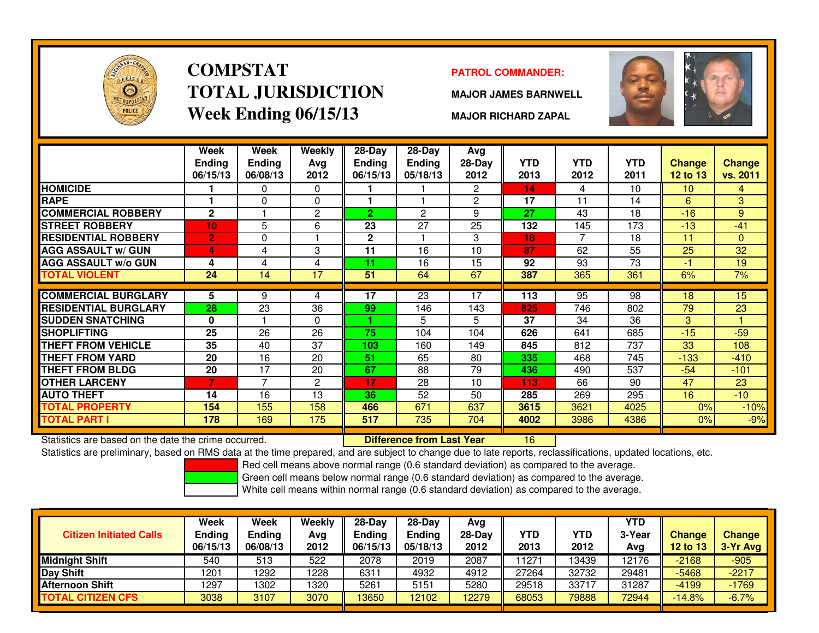

# **COMPSTATTOTAL JURISDICTIONWeek Ending 06/15/13**

### **PATROL COMMANDER:**

**MAJOR JAMES BARNWELL**



**MAJOR RICHARD ZAPAL**

|                             | Week<br><b>Ending</b><br>06/15/13 | <b>Week</b><br><b>Ending</b><br>06/08/13 | Weekly<br>Avg<br>2012 | 28-Day<br><b>Ending</b><br>06/15/13 | $28$ -Day<br>Ending<br>05/18/13 | Avg<br>28-Day<br>2012 | <b>YTD</b><br>2013 | <b>YTD</b><br>2012 | <b>YTD</b><br>2011 | <b>Change</b><br><b>12 to 13</b> | <b>Change</b><br>vs. 2011 |
|-----------------------------|-----------------------------------|------------------------------------------|-----------------------|-------------------------------------|---------------------------------|-----------------------|--------------------|--------------------|--------------------|----------------------------------|---------------------------|
| <b>HOMICIDE</b>             |                                   | $\Omega$                                 | 0                     |                                     |                                 | $\overline{2}$        | 14                 | 4                  | 10                 | 10                               | 4                         |
| <b>RAPE</b>                 |                                   | $\Omega$                                 | $\mathbf{0}$          |                                     |                                 | 2                     | 17                 | 11                 | 14                 | 6                                | 3                         |
| <b>COMMERCIAL ROBBERY</b>   | $\mathbf{2}$                      |                                          | $\overline{c}$        | $\overline{2}$                      | 2                               | 9                     | 27                 | 43                 | 18                 | $-16$                            | 9                         |
| <b>STREET ROBBERY</b>       | 10                                | 5                                        | 6                     | 23                                  | 27                              | 25                    | 132                | 145                | 173                | $-13$                            | $-41$                     |
| <b>RESIDENTIAL ROBBERY</b>  | $\overline{2}$                    | 0                                        |                       | $\mathbf{2}$                        |                                 | 3                     | 18                 |                    | 18                 | 11                               | $\Omega$                  |
| <b>AGG ASSAULT w/ GUN</b>   | 4                                 | 4                                        | 3                     | 11                                  | 16                              | 10                    | 87                 | 62                 | 55                 | 25                               | 32                        |
| <b>AGG ASSAULT w/o GUN</b>  | 4                                 | 4                                        | 4                     | 11                                  | 16                              | 15                    | 92                 | 93                 | 73                 | -1                               | 19                        |
| <b>TOTAL VIOLENT</b>        | 24                                | 14                                       | 17                    | 51                                  | 64                              | 67                    | 387                | 365                | 361                | 6%                               | 7%                        |
|                             |                                   |                                          |                       |                                     |                                 |                       |                    |                    |                    |                                  |                           |
| <b>COMMERCIAL BURGLARY</b>  | 5                                 | 9                                        | 4                     | 17                                  | 23                              | 17                    | 113                | 95                 | 98                 | 18                               | 15                        |
| <b>RESIDENTIAL BURGLARY</b> | 28                                | 23                                       | 36                    | 99                                  | 146                             | 143                   | 825                | 746                | 802                | 79                               | 23                        |
| <b>SUDDEN SNATCHING</b>     | 0                                 |                                          | $\Omega$              |                                     | 5                               | 5                     | 37                 | 34                 | 36                 | 3                                |                           |
| SHOPLIFTING                 | 25                                | 26                                       | 26                    | 75                                  | 104                             | 104                   | 626                | 641                | 685                | $-15$                            | $-59$                     |
| <b>THEFT FROM VEHICLE</b>   | 35                                | 40                                       | 37                    | 103                                 | 160                             | 149                   | 845                | 812                | 737                | 33                               | 108                       |
| THEFT FROM YARD             | 20                                | 16                                       | 20                    | 51                                  | 65                              | 80                    | 335                | 468                | 745                | $-133$                           | $-410$                    |
| <b>THEFT FROM BLDG</b>      | 20                                | 17                                       | 20                    | 67                                  | 88                              | 79                    | 436                | 490                | 537                | $-54$                            | $-101$                    |
| <b>OTHER LARCENY</b>        | 7                                 | $\overline{\phantom{a}}$                 | $\overline{2}$        | 17                                  | 28                              | 10                    | 113                | 66                 | 90                 | 47                               | 23                        |
| <b>AUTO THEFT</b>           | 14                                | 16                                       | 13                    | 36                                  | 52                              | 50                    | 285                | 269                | 295                | 16                               | $-10$                     |
| <b>TOTAL PROPERTY</b>       | 154                               | 155                                      | 158                   | 466                                 | 671                             | 637                   | 3615               | 3621               | 4025               | 0%                               | $-10%$                    |
| <b>TOTAL PART I</b>         | 178                               | 169                                      | 175                   | 517                                 | 735                             | 704                   | 4002               | 3986               | 4386               | 0%                               | $-9%$                     |

Statistics are based on the date the crime occurred. **Difference from Last Year** 

Statistics are based on the date the crime occurred. **[16] Luident Luiden Last Year 16 Exterc**t 16 at the date docations, etc.<br>Statistics are preliminary, based on RMS data at the time prepared, and are subject to change d

Red cell means above normal range (0.6 standard deviation) as compared to the average.

Green cell means below normal range (0.6 standard deviation) as compared to the average.

| <b>Citizen Initiated Calls</b> | Week<br><b>Ending</b><br>06/15/13 | <b>Week</b><br><b>Ending</b><br>06/08/13 | Weekly<br>Avg<br>2012 | $28-Dav$<br>Endina<br>06/15/13 | $28-Day$<br><b>Ending</b><br>05/18/13 | Avg<br>$28-Dav$<br>2012 | YTD<br>2013 | YTD<br>2012 | <b>YTD</b><br>3-Year<br>Ava | <b>Change</b><br><b>12 to 13</b> | <b>Change</b><br>3-Yr Avg |
|--------------------------------|-----------------------------------|------------------------------------------|-----------------------|--------------------------------|---------------------------------------|-------------------------|-------------|-------------|-----------------------------|----------------------------------|---------------------------|
| <b>Midnight Shift</b>          | 540                               | 513                                      | 522                   | 2078                           | 2019                                  | 2087                    | 1271        | 13439       | 12176                       | $-2168$                          | $-905$                    |
| Day Shift                      | 1201                              | 1292                                     | 1228                  | 6311                           | 4932                                  | 4912                    | 27264       | 32732       | 29481                       | $-5468$                          | $-2217$                   |
| <b>Afternoon Shift</b>         | 1297                              | 1302                                     | 1320                  | 5261                           | 5151                                  | 5280                    | 29518       | 33717       | 31287                       | -4199                            | $-1769$                   |
| <b>TOTAL CITIZEN CFS</b>       | 3038                              | 3107                                     | 3070                  | 13650                          | 12102                                 | 2279                    | 68053       | 79888       | 72944                       | $-14.8%$                         | $-6.7%$                   |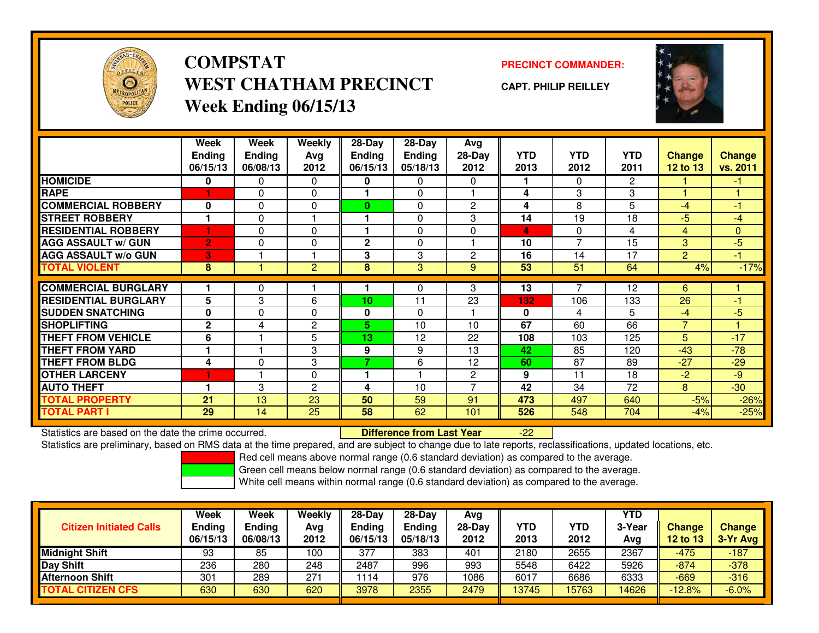

**COMPSTATWEST CHATHAM PRECINCTWeek Ending 06/15/13**

**PRECINCT COMMANDER:**

**CAPT. PHILIP REILLEY**



|                             | Week           | Week          | <b>Weekly</b>  | $28-Day$       | $28 - Day$     | Avg                      |            |            |                |                |                |
|-----------------------------|----------------|---------------|----------------|----------------|----------------|--------------------------|------------|------------|----------------|----------------|----------------|
|                             | <b>Ending</b>  | <b>Ending</b> | Avg            | <b>Ending</b>  | <b>Ending</b>  | 28-Day                   | <b>YTD</b> | <b>YTD</b> | <b>YTD</b>     | <b>Change</b>  | <b>Change</b>  |
|                             | 06/15/13       | 06/08/13      | 2012           | 06/15/13       | 05/18/13       | 2012                     | 2013       | 2012       | 2011           | 12 to 13       | vs. 2011       |
| <b>HOMICIDE</b>             | 0              | 0             | $\Omega$       | 0              | $\mathbf{0}$   | $\Omega$                 |            | $\Omega$   | $\overline{2}$ |                | $-1$           |
| <b>RAPE</b>                 |                | 0             | $\Omega$       |                | $\Omega$       |                          | 4          | 3          | 3              | $\overline{1}$ |                |
| <b>COMMERCIAL ROBBERY</b>   | 0              | 0             | $\Omega$       | $\bf{0}$       | $\Omega$       | $\overline{c}$           | 4          | 8          | 5              | $-4$           | $\blacksquare$ |
| <b>STREET ROBBERY</b>       |                | 0             |                |                | $\Omega$       | 3                        | 14         | 19         | 18             | $-5$           | $-4$           |
| <b>RESIDENTIAL ROBBERY</b>  |                | 0             | $\Omega$       |                | $\Omega$       | $\Omega$                 | 4          | $\Omega$   | 4              | 4              | $\mathbf{0}$   |
| <b>AGG ASSAULT w/ GUN</b>   | $\overline{2}$ | $\Omega$      | $\Omega$       | $\overline{2}$ | $\Omega$       |                          | 10         | 7          | 15             | 3              | $-5$           |
| <b>AGG ASSAULT w/o GUN</b>  | 3              |               |                | 3              | 3              | $\overline{2}$           | 16         | 14         | 17             | $\overline{2}$ | $-1$           |
| <b>TOTAL VIOLENT</b>        | 8              |               | $\overline{2}$ | 8              | $\overline{3}$ | 9                        | 53         | 51         | 64             | 4%             | $-17%$         |
| <b>COMMERCIAL BURGLARY</b>  |                | 0             |                |                | 0              | 3                        | 13         |            | 12             | 6              |                |
| <b>RESIDENTIAL BURGLARY</b> | 5              | 3             | 6              | 10             | 11             | 23                       | 132        | 106        | 133            | 26             | $-1$           |
| <b>SUDDEN SNATCHING</b>     | $\mathbf{0}$   | $\Omega$      | $\Omega$       | 0              | $\Omega$       |                          | $\bf{0}$   | 4          | 5              | $-4$           | $-5$           |
| <b>SHOPLIFTING</b>          | $\mathbf{2}$   | 4             | 2              | 5.             | 10             | 10                       | 67         | 60         | 66             | $\overline{7}$ |                |
| <b>THEFT FROM VEHICLE</b>   | 6              |               | 5              | 13             | 12             | 22                       | 108        | 103        | 125            | 5              | $-17$          |
| <b>THEFT FROM YARD</b>      |                |               | 3              | 9              | 9              | 13                       | 42         | 85         | 120            | $-43$          | $-78$          |
| <b>THEFT FROM BLDG</b>      | 4              | 0             | 3              | 7              | 6              | 12                       | 60         | 87         | 89             | $-27$          | $-29$          |
| <b>OTHER LARCENY</b>        |                |               | $\Omega$       |                |                | $\overline{c}$           | 9          | 11         | 18             | $-2$           | $-9$           |
| <b>AUTO THEFT</b>           |                | 3             | $\overline{c}$ | 4              | 10             | $\overline{\phantom{a}}$ | 42         | 34         | 72             | 8              | $-30$          |
| <b>TOTAL PROPERTY</b>       | 21             | 13            | 23             | 50             | 59             | 91                       | 473        | 497        | 640            | $-5%$          | $-26%$         |
| <b>TOTAL PART I</b>         | 29             | 14            | 25             | 58             | 62             | 101                      | 526        | 548        | 704            | $-4%$          | $-25%$         |

Statistics are based on the date the crime occurred. **Difference from Last Year** 

Statistics are preliminary, based on RMS data at the time prepared, and are subject to change due to late reports, reclassifications, updated locations, etc.

-22

Red cell means above normal range (0.6 standard deviation) as compared to the average.

Green cell means below normal range (0.6 standard deviation) as compared to the average.

| <b>Citizen Initiated Calls</b> | Week<br><b>Ending</b><br>06/15/13 | Week<br><b>Ending</b><br>06/08/13 | Weekly<br>Avg<br>2012 | $28-Dav$<br><b>Ending</b><br>06/15/13 | $28-Dav$<br><b>Ending</b><br>05/18/13 | Avg<br>$28-Dav$<br>2012 | YTD<br>2013 | YTD<br>2012 | YTD<br>3-Year<br>Avg | <b>Change</b><br>12 to 13 | <b>Change</b><br>3-Yr Avg |
|--------------------------------|-----------------------------------|-----------------------------------|-----------------------|---------------------------------------|---------------------------------------|-------------------------|-------------|-------------|----------------------|---------------------------|---------------------------|
| <b>Midnight Shift</b>          | 93                                | 85                                | 100                   | 377                                   | 383                                   | 401                     | 2180        | 2655        | 2367                 | -475                      | $-187$                    |
| Day Shift                      | 236                               | 280                               | 248                   | 2487                                  | 996                                   | 993                     | 5548        | 6422        | 5926                 | $-874$                    | $-378$                    |
| <b>Afternoon Shift</b>         | 301                               | 289                               | 271                   | 1114                                  | 976                                   | 1086                    | 6017        | 6686        | 6333                 | $-669$                    | $-316$                    |
| <b>TOTAL CITIZEN CFS</b>       | 630                               | 630                               | 620                   | 3978                                  | 2355                                  | 2479                    | 13745       | 15763       | 14626                | $-12.8%$                  | $-6.0%$                   |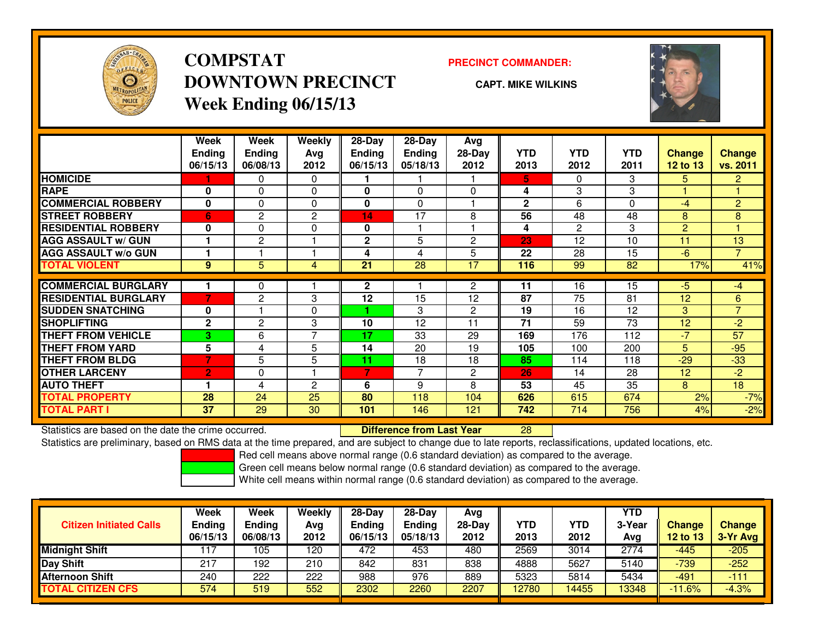

## **COMPSTATDOWNTOWN PRECINCTWeek Ending 06/15/13**

### **PRECINCT COMMANDER:**

**CAPT. MIKE WILKINS**

<sup>28</sup>



|                             | Week<br><b>Ending</b> | Week<br><b>Ending</b> | <b>Weekly</b><br>Avg | $28-Day$<br><b>Ending</b> | $28-Day$<br><b>Ending</b> | Avg<br>$28-Day$ | <b>YTD</b>   | <b>YTD</b> | <b>YTD</b> | <b>Change</b> | Change         |
|-----------------------------|-----------------------|-----------------------|----------------------|---------------------------|---------------------------|-----------------|--------------|------------|------------|---------------|----------------|
|                             | 06/15/13              | 06/08/13              | 2012                 | 06/15/13                  | 05/18/13                  | 2012            | 2013         | 2012       | 2011       | 12 to $13$    | vs. 2011       |
| <b>HOMICIDE</b>             |                       | 0                     | $\Omega$             |                           |                           |                 | 5.           | $\Omega$   | 3          | 5             | 2 <sup>1</sup> |
| <b>RAPE</b>                 | 0                     | 0                     | $\mathbf 0$          | 0                         | 0                         | $\Omega$        | 4            | 3          | 3          |               |                |
| <b>COMMERCIAL ROBBERY</b>   | $\bf{0}$              | 0                     | $\Omega$             | 0                         | $\Omega$                  |                 | $\mathbf{2}$ | 6          | 0          | -4            | $\overline{2}$ |
| <b>STREET ROBBERY</b>       | 6                     | 2                     | 2                    | 14                        | 17                        | 8               | 56           | 48         | 48         | 8             | 8              |
| <b>RESIDENTIAL ROBBERY</b>  | 0                     | 0                     | $\Omega$             | 0                         |                           |                 | 4            | 2          | 3          | 2             |                |
| <b>AGG ASSAULT w/ GUN</b>   |                       | 2                     |                      | $\mathbf{2}$              | 5                         | $\overline{2}$  | 23           | 12         | 10         | 11            | 13             |
| <b>AGG ASSAULT w/o GUN</b>  |                       |                       |                      | 4                         | 4                         | 5               | 22           | 28         | 15         | $-6$          | $\overline{7}$ |
| <b>TOTAL VIOLENT</b>        | 9                     | 5                     | 4                    | 21                        | 28                        | 17              | 116          | 99         | 82         | 17%           | 41%            |
| <b>COMMERCIAL BURGLARY</b>  |                       | 0                     |                      | $\mathbf{2}$              |                           | $\overline{2}$  | 11           | 16         | 15         | -5            | $-4$           |
| <b>RESIDENTIAL BURGLARY</b> | 7                     | 2                     | 3                    | 12                        | 15                        | 12              | 87           | 75         | 81         | 12            | 6              |
|                             |                       |                       |                      |                           |                           |                 |              |            |            |               | 7              |
| <b>SUDDEN SNATCHING</b>     | $\bf{0}$              |                       | $\Omega$             |                           | 3                         | $\overline{c}$  | 19           | 16         | 12         | 3             |                |
| <b>SHOPLIFTING</b>          | $\mathbf{2}$          | $\overline{2}$        | 3                    | 10                        | 12                        | 11              | 71           | 59         | 73         | 12            | $-2$           |
| <b>THEFT FROM VEHICLE</b>   | 3                     | 6                     | $\overline{ }$       | 17                        | 33                        | 29              | 169          | 176        | 112        | $-7$          | 57             |
| <b>THEFT FROM YARD</b>      | 5                     | 4                     | 5                    | 14                        | 20                        | 19              | 105          | 100        | 200        | 5             | $-95$          |
| <b>THEFT FROM BLDG</b>      | 7                     | 5                     | 5                    | 11                        | 18                        | 18              | 85           | 114        | 118        | $-29$         | $-33$          |
| <b>OTHER LARCENY</b>        | $\overline{2}$        | 0                     |                      | 7                         | 7                         | $\overline{2}$  | 26           | 14         | 28         | 12            | $-2$           |
| <b>AUTO THEFT</b>           |                       | 4                     | $\overline{2}$       | 6                         | 9                         | 8               | 53           | 45         | 35         | 8             | 18             |
| <b>TOTAL PROPERTY</b>       | 28                    | 24                    | 25                   | 80                        | 118                       | 104             | 626          | 615        | 674        | 2%            | $-7%$          |
| <b>TOTAL PART I</b>         | 37                    | 29                    | 30                   | 101                       | 146                       | 121             | 742          | 714        | 756        | 4%            | $-2%$          |

Statistics are based on the date the crime occurred. **Difference from Last Year** 

Statistics are preliminary, based on RMS data at the time prepared, and are subject to change due to late reports, reclassifications, updated locations, etc.

Red cell means above normal range (0.6 standard deviation) as compared to the average.

Green cell means below normal range (0.6 standard deviation) as compared to the average.

| <b>Change</b><br>3-Yr Avg |
|---------------------------|
|                           |
|                           |
| $-205$                    |
| $-252$                    |
| $-111$                    |
| $-4.3%$                   |
|                           |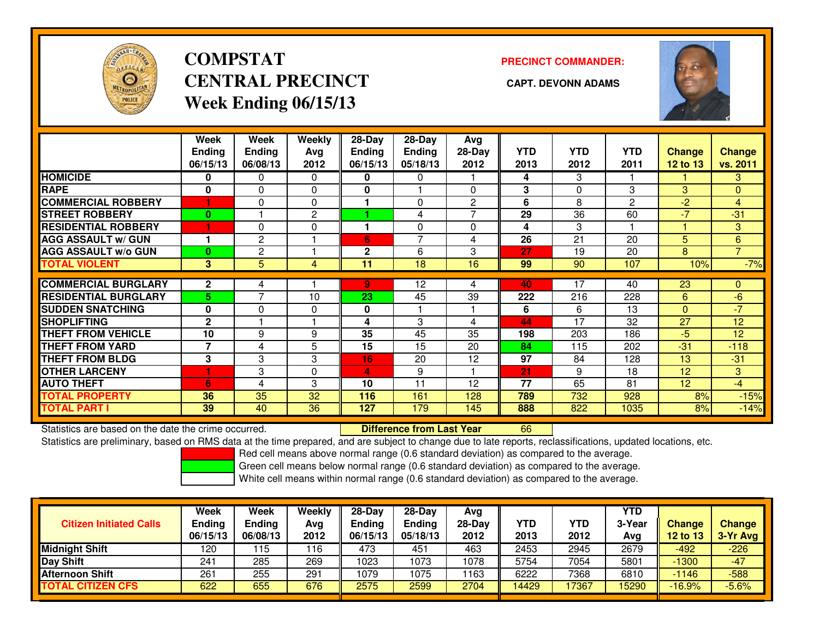

# **COMPSTATCENTRAL PRECINCT CAPT. DEVONN ADAMSWeek Ending 06/15/13**

**PRECINCT COMMANDER:**



|                             | Week<br><b>Ending</b><br>06/15/13 | Week<br><b>Ending</b><br>06/08/13 | Weekly<br>Ava<br>2012 | $28$ -Day<br>Ending<br>06/15/13 | 28-Day<br><b>Ending</b><br>05/18/13 | Avg<br>$28-Day$<br>2012 | <b>YTD</b><br>2013 | <b>YTD</b><br>2012 | <b>YTD</b><br>2011 | Change<br>12 to 13 | <b>Change</b><br>vs. 2011 |
|-----------------------------|-----------------------------------|-----------------------------------|-----------------------|---------------------------------|-------------------------------------|-------------------------|--------------------|--------------------|--------------------|--------------------|---------------------------|
| <b>HOMICIDE</b>             | 0                                 | 0                                 | $\Omega$              | 0                               | 0                                   |                         | 4                  | 3                  |                    |                    | 3 <sup>1</sup>            |
| <b>RAPE</b>                 | 0                                 | 0                                 | $\Omega$              | 0                               |                                     | $\Omega$                | 3                  | $\Omega$           | 3                  | 3                  | $\overline{0}$            |
| <b>COMMERCIAL ROBBERY</b>   |                                   | 0                                 | $\Omega$              |                                 | $\Omega$                            | $\overline{2}$          | 6                  | 8                  | 2                  | $-2$               | $\overline{4}$            |
| <b>STREET ROBBERY</b>       | $\bf{0}$                          |                                   | $\mathbf{2}$          |                                 | 4                                   | 7                       | 29                 | 36                 | 60                 | $-7$               | $-31$                     |
| <b>RESIDENTIAL ROBBERY</b>  |                                   | 0                                 | 0                     |                                 | $\Omega$                            | $\Omega$                | 4                  | 3                  |                    |                    | 3                         |
| <b>AGG ASSAULT w/ GUN</b>   |                                   | $\overline{2}$                    |                       | 6                               | $\overline{\phantom{0}}$            | 4                       | 26                 | 21                 | 20                 | 5                  | 6                         |
| <b>AGG ASSAULT w/o GUN</b>  | $\bf{0}$                          | 2                                 |                       | $\mathbf{2}$                    | 6                                   | 3                       | 27                 | 19                 | 20                 | 8                  | $\overline{7}$            |
| <b>TOTAL VIOLENT</b>        | 3                                 | 5                                 | 4                     | 11                              | 18                                  | 16                      | 99                 | 90                 | 107                | 10%                | $-7%$                     |
|                             |                                   |                                   |                       |                                 |                                     |                         |                    |                    |                    |                    |                           |
| <b>COMMERCIAL BURGLARY</b>  | $\mathbf{2}$                      | 4                                 |                       | 9.                              | 12                                  | 4                       | 40                 | 17                 | 40                 | 23                 | 0                         |
| <b>RESIDENTIAL BURGLARY</b> | 5                                 | 7                                 | 10                    | 23                              | 45                                  | 39                      | 222                | 216                | 228                | 6                  | $-6$                      |
| <b>SUDDEN SNATCHING</b>     | $\bf{0}$                          | 0                                 | 0                     | 0                               |                                     |                         | 6                  | 6                  | 13                 | $\Omega$           | $-7$                      |
| <b>SHOPLIFTING</b>          | $\mathbf{2}$                      |                                   |                       | 4                               | 3                                   | 4                       | 44                 | 17                 | 32                 | 27                 | 12                        |
| <b>THEFT FROM VEHICLE</b>   | 10                                | 9                                 | 9                     | 35                              | 45                                  | 35                      | 198                | 203                | 186                | $-5$               | 12                        |
| <b>THEFT FROM YARD</b>      | 7                                 | 4                                 | 5                     | 15                              | 15                                  | 20                      | 84                 | 115                | 202                | $-31$              | $-118$                    |
| <b>THEFT FROM BLDG</b>      | 3                                 | 3                                 | 3                     | 16                              | 20                                  | 12                      | 97                 | 84                 | 128                | 13                 | $-31$                     |
| <b>OTHER LARCENY</b>        | 1                                 | 3                                 | 0                     | 4                               | 9                                   |                         | 21                 | 9                  | 18                 | 12                 | 3                         |
| <b>AUTO THEFT</b>           | 6                                 | 4                                 | 3                     | 10                              | 11                                  | 12                      | 77                 | 65                 | 81                 | 12 <sup>2</sup>    | $-4$                      |
| <b>TOTAL PROPERTY</b>       | 36                                | 35                                | 32                    | 116                             | 161                                 | 128                     | 789                | 732                | 928                | 8%                 | $-15%$                    |
| <b>TOTAL PART I</b>         | 39                                | 40                                | 36                    | 127                             | 179                                 | 145                     | 888                | 822                | 1035               | 8%                 | $-14%$                    |

Statistics are based on the date the crime occurred. **Difference from Last Year** 

Statistics are based on the date the crime occurred. **Externee the Difference from Last Year the Commult of Com**<br>Statistics are preliminary, based on RMS data at the time prepared, and are subject to change due to late rep

Red cell means above normal range (0.6 standard deviation) as compared to the average.

Green cell means below normal range (0.6 standard deviation) as compared to the average.

|                                | Week                      | Week                      | Weekly      | $28-Day$                  | $28$ -Dav                 | Avg              |             |                    | <b>YTD</b>    |                    |                           |
|--------------------------------|---------------------------|---------------------------|-------------|---------------------------|---------------------------|------------------|-------------|--------------------|---------------|--------------------|---------------------------|
| <b>Citizen Initiated Calls</b> | <b>Ending</b><br>06/15/13 | <b>Ending</b><br>06/08/13 | Avg<br>2012 | <b>Ending</b><br>06/15/13 | <b>Ending</b><br>05/18/13 | $28-Dav$<br>2012 | YTD<br>2013 | <b>YTD</b><br>2012 | 3-Year<br>Avg | Change<br>12 to 13 | <b>Change</b><br>3-Yr Avg |
| <b>Midnight Shift</b>          | 120                       | 115                       | 116         | 473                       | 451                       | 463              | 2453        | 2945               | 2679          | -492               | $-226$                    |
| Day Shift                      | 241                       | 285                       | 269         | 1023                      | 1073                      | 1078             | 5754        | 7054               | 5801          | $-1300$            | $-47$                     |
| <b>Afternoon Shift</b>         | 261                       | 255                       | 291         | 1079                      | 1075                      | 163              | 6222        | 7368               | 6810          | $-1146$            | $-588$                    |
| <b>TOTAL CITIZEN CFS</b>       | 622                       | 655                       | 676         | 2575                      | 2599                      | 2704             | 14429       | 17367              | 5290          | $-16.9%$           | $-5.6%$                   |
|                                |                           |                           |             |                           |                           |                  |             |                    |               |                    |                           |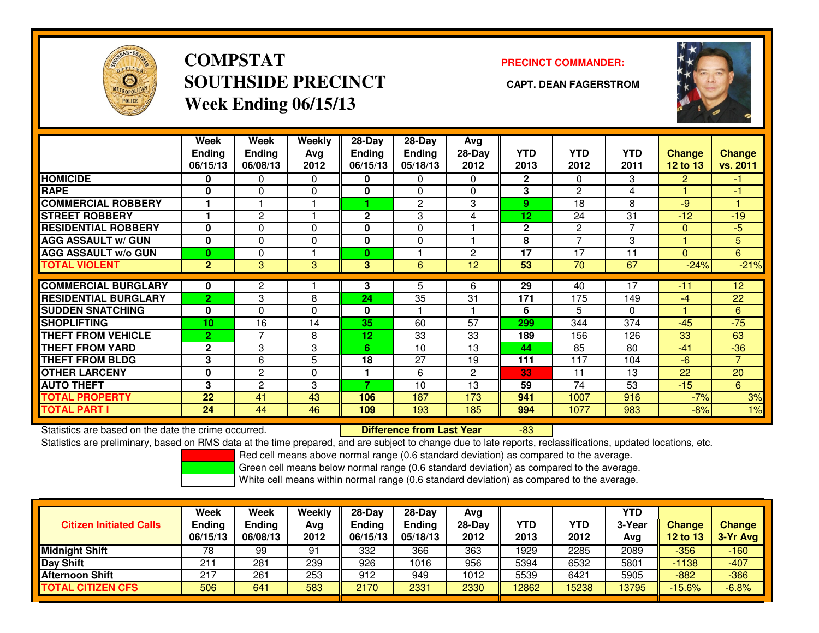

# **COMPSTATSOUTHSIDE PRECINCT CAPT. DEAN FAGERSTROMWeek Ending 06/15/13**

### **PRECINCT COMMANDER:**



|                             | Week<br><b>Ending</b><br>06/15/13 | Week<br><b>Ending</b><br>06/08/13 | Weekly<br>Avg<br>2012 | $28-Day$<br>Ending<br>06/15/13 | 28-Dav<br>Ending<br>05/18/13 | Avg<br>28-Day<br>2012 | <b>YTD</b><br>2013 | <b>YTD</b><br>2012 | <b>YTD</b><br>2011 | <b>Change</b><br>12 to 13 | Change<br>vs. 2011 |
|-----------------------------|-----------------------------------|-----------------------------------|-----------------------|--------------------------------|------------------------------|-----------------------|--------------------|--------------------|--------------------|---------------------------|--------------------|
| <b>HOMICIDE</b>             | 0                                 | 0                                 | $\Omega$              | 0                              | 0                            | 0                     | $\overline{2}$     | $\mathbf{0}$       | 3                  | $\overline{2}$            | 47                 |
| <b>RAPE</b>                 | $\bf{0}$                          | $\Omega$                          | $\Omega$              | 0                              | $\Omega$                     | 0                     | 3                  | 2                  | 4                  |                           | -1                 |
| <b>COMMERCIAL ROBBERY</b>   |                                   |                                   |                       |                                | 2                            | 3                     | 9                  | 18                 | 8                  | $-9$                      |                    |
| <b>STREET ROBBERY</b>       |                                   | 2                                 |                       | $\mathbf{2}$                   | 3                            | 4                     | 12                 | 24                 | 31                 | $-12$                     | $-19$              |
| <b>RESIDENTIAL ROBBERY</b>  | $\bf{0}$                          | $\Omega$                          | $\Omega$              | 0                              | $\Omega$                     |                       | $\mathbf 2$        | 2                  | 7                  | $\mathbf{0}$              | $-5$               |
| <b>AGG ASSAULT w/ GUN</b>   | $\mathbf 0$                       | $\Omega$                          | 0                     | 0                              | 0                            |                       | 8                  | $\overline{ }$     | 3                  |                           | 5                  |
| <b>AGG ASSAULT w/o GUN</b>  | $\bf{0}$                          | 0                                 |                       | $\bf{0}$                       |                              | $\overline{c}$        | 17                 | 17                 | 11                 | $\mathbf{0}$              | 6                  |
| <b>TOTAL VIOLENT</b>        | $\mathbf{2}$                      | 3                                 | 3                     | 3                              | 6                            | 12                    | 53                 | 70                 | 67                 | $-24%$                    | $-21%$             |
| <b>COMMERCIAL BURGLARY</b>  | $\bf{0}$                          | 2                                 |                       | 3                              | 5                            | 6                     | 29                 | 40                 | 17                 | $-11$                     | 12                 |
| <b>RESIDENTIAL BURGLARY</b> | $\overline{2}$                    | 3                                 | 8                     | 24                             | 35                           | 31                    | 171                | 175                | 149                | $-4$                      | 22                 |
| <b>SUDDEN SNATCHING</b>     | $\mathbf{0}$                      | $\Omega$                          | $\Omega$              | 0                              |                              |                       | 6                  | 5                  | $\Omega$           |                           | 6                  |
| <b>SHOPLIFTING</b>          | 10                                | 16                                | 14                    | 35                             | 60                           | 57                    | 299                | 344                | 374                | $-45$                     | $-75$              |
| <b>THEFT FROM VEHICLE</b>   | $\overline{2}$                    | 7                                 | 8                     | 12                             | 33                           | 33                    | 189                | 156                | 126                | 33                        | 63                 |
| <b>THEFT FROM YARD</b>      | $\mathbf{2}$                      | 3                                 | 3                     | 6                              | 10                           | 13                    | 44                 | 85                 | 80                 | $-41$                     | $-36$              |
| <b>THEFT FROM BLDG</b>      | 3                                 | 6                                 | 5                     | 18                             | 27                           |                       |                    |                    |                    | $-6$                      | $\overline{7}$     |
|                             |                                   |                                   |                       |                                |                              | 19                    | 111                | 117<br>11          | 104                |                           |                    |
| <b>OTHER LARCENY</b>        | $\mathbf 0$                       | $\overline{2}$                    | $\Omega$              | 7                              | 6                            | $\overline{2}$        | 33                 |                    | 13                 | 22                        | 20                 |
| <b>AUTO THEFT</b>           | 3                                 | 2                                 | 3                     |                                | 10                           | 13                    | 59                 | 74                 | 53                 | $-15$                     | 6                  |
| <b>TOTAL PROPERTY</b>       | 22                                | 41                                | 43                    | 106                            | 187                          | 173                   | 941                | 1007               | 916                | $-7%$                     | 3%                 |
| <b>TOTAL PART I</b>         | 24                                | 44                                | 46                    | 109                            | 193                          | 185                   | 994                | 1077               | 983                | $-8%$                     | 1%                 |

Statistics are based on the date the crime occurred. **Difference from Last Year** 

-83

Statistics are preliminary, based on RMS data at the time prepared, and are subject to change due to late reports, reclassifications, updated locations, etc.

Red cell means above normal range (0.6 standard deviation) as compared to the average.

Green cell means below normal range (0.6 standard deviation) as compared to the average.

|                                | Week          | Week          | Weekly | $28-Day$      | $28-Dav$ | Avg      |            |            | <b>YTD</b> |                 |               |
|--------------------------------|---------------|---------------|--------|---------------|----------|----------|------------|------------|------------|-----------------|---------------|
| <b>Citizen Initiated Calls</b> | <b>Ending</b> | <b>Ending</b> | Avg    | <b>Ending</b> | Ending   | $28-Dav$ | <b>YTD</b> | <b>YTD</b> | 3-Year     | <b>Change</b>   | <b>Change</b> |
|                                | 06/15/13      | 06/08/13      | 2012   | 06/15/13      | 05/18/13 | 2012     | 2013       | 2012       | Avg        | <b>12 to 13</b> | $3-Yr$ Avg    |
| <b>Midnight Shift</b>          | 78            | 99            | 91     | 332           | 366      | 363      | 1929       | 2285       | 2089       | $-356$          | $-160$        |
| Day Shift                      | 211           | 281           | 239    | 926           | 1016     | 956      | 5394       | 6532       | 5801       | $-1138$         | $-407$        |
| <b>Afternoon Shift</b>         | 217           | 261           | 253    | 912           | 949      | 1012     | 5539       | 6421       | 5905       | $-882$          | $-366$        |
| <b>TOTAL CITIZEN CFS</b>       | 506           | 641           | 583    | 2170          | 2331     | 2330     | 12862      | 15238      | 13795      | $-15.6%$        | $-6.8%$       |
|                                |               |               |        |               |          |          |            |            |            |                 |               |